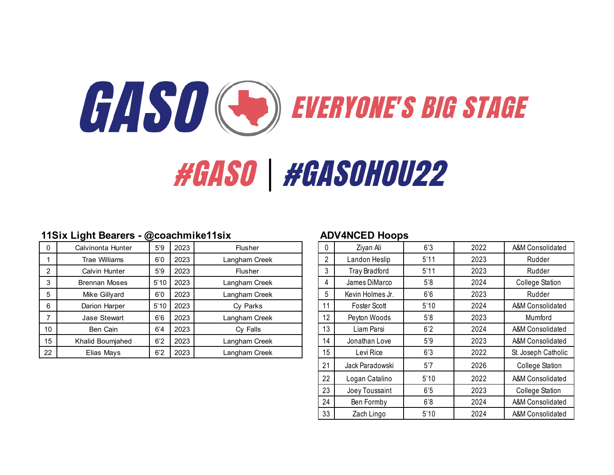

### **11Six Light Bearers - @coachmike11six ADV4NCED Hoops**

| 0  | Calvinonta Hunter    | 5'9  | 2023 | Flusher       | U | Ziyan Ali            | 6'3  | 2022 | A&M Consolidated       |
|----|----------------------|------|------|---------------|---|----------------------|------|------|------------------------|
|    | <b>Trae Williams</b> | 6'0  | 2023 | Langham Creek |   | Landon Heslip        | 5'11 | 2023 | Rudder                 |
|    | Calvin Hunter        | 5'9  | 2023 | Flusher       | 3 | <b>Tray Bradford</b> | 5'11 | 2023 | Rudder                 |
|    | <b>Brennan Moses</b> | 5'10 | 2023 | Langham Creek |   | James DiMarco        | 5'8  | 2024 | <b>College Station</b> |
| 5  | Mike Gillyard        | 6'0  | 2023 | Langham Creek | 5 | Kevin Holmes Jr.     | 6'6  | 2023 | Rudder                 |
| 6  | Darion Harper        | 5'10 | 2023 | Cy Parks      |   | Foster Scott         | 5'10 | 2024 | A&M Consolidated       |
|    | <b>Jase Stewart</b>  | 6'6  | 2023 | Langham Creek |   | Peyton Woods         | 5'8  | 2023 | Mumford                |
| 10 | Ben Cain             | 6'4  | 2023 | Cy Falls      |   | Liam Parsi           | 6'2  | 2024 | A&M Consolidated       |
| 15 | Khalid Boumjahed     | 6'2  | 2023 | Langham Creek |   | Jonathan Love        | 5'9  | 2023 | A&M Consolidated       |
| 22 | Elias Mays           | 6'2  | 2023 | Langham Creek |   | Levi Rice            | 6'3  | 2022 | St. Joseph Catholic    |

| Ziyan Ali            | 6'3  | 2022 | A&M Consolidated       |
|----------------------|------|------|------------------------|
| Landon Heslip        | 5'11 | 2023 | Rudder                 |
| <b>Tray Bradford</b> | 5'11 | 2023 | Rudder                 |
| James DiMarco        | 5'8  | 2024 | <b>College Station</b> |
| Kevin Holmes Jr.     | 6'6  | 2023 | Rudder                 |
| Foster Scott         | 5'10 | 2024 | A&M Consolidated       |
| Peyton Woods         | 5'8  | 2023 | Mumford                |
| Liam Parsi           | 6'2  | 2024 | A&M Consolidated       |
| Jonathan Love        | 5'9  | 2023 | A&M Consolidated       |
| Levi Rice            | 6'3  | 2022 | St. Joseph Catholic    |
| Jack Paradowski      | 5'7  | 2026 | <b>College Station</b> |
| Logan Catalino       | 5'10 | 2022 | A&M Consolidated       |
| Joey Toussaint       | 6'5  | 2023 | <b>College Station</b> |
| Ben Formby           | 6'8  | 2024 | A&M Consolidated       |
| Zach Lingo           | 5'10 | 2024 | A&M Consolidated       |
|                      |      |      |                        |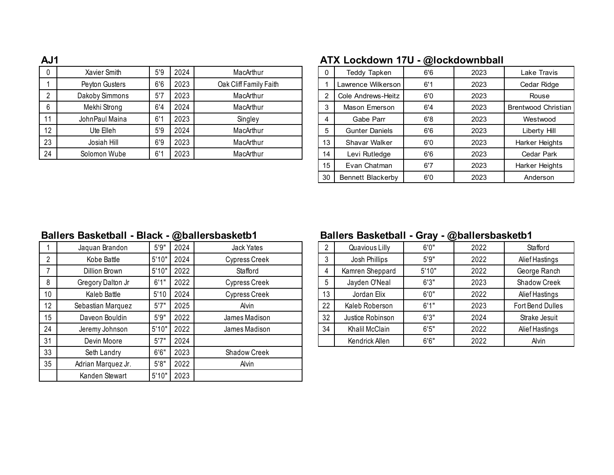| ЛV І |                |     |      |                        |                | AIA LUUNUUWII IIU     |     | <b>WIVUNUVIIINNAII</b> |                            |
|------|----------------|-----|------|------------------------|----------------|-----------------------|-----|------------------------|----------------------------|
|      | Xavier Smith   | 5'9 | 2024 | MacArthur              | 0              | Teddy Tapken          | 6'6 | 2023                   | Lake Travis                |
|      | Peyton Gusters | 6'6 | 2023 | Oak Cliff Family Faith |                | Lawrence Wilkerson    | 6'1 | 2023                   | Cedar Ridge                |
|      | Dakoby Simmons | 5'7 | 2023 | MacArthur              | $\overline{2}$ | Cole Andrews-Heitz    | 6'0 | 2023                   | Rouse                      |
|      | Mekhi Strong   | 6'4 | 2024 | MacArthur              | 3              | Mason Emerson         | 6'4 | 2023                   | <b>Brentwood Christian</b> |
|      | JohnPaul Maina | 6'1 | 2023 | Singley                |                | Gabe Parr             | 6'8 | 2023                   | Westwood                   |
| 12   | Ute Elleh      | 5'9 | 2024 | MacArthur              | 5              | <b>Gunter Daniels</b> | 6'6 | 2023                   | Liberty Hill               |
| 23   | Josiah Hill    | 6'9 | 2023 | MacArthur              | 13             | Shavar Walker         | 6'0 | 2023                   | Harker Heights             |
| 24   | Solomon Wube   | 6'1 | 2023 | MacArthur              | 14             | Levi Rutledge         | 6'6 | 2023                   | Cedar Park                 |
|      |                |     |      |                        |                |                       |     |                        |                            |

### **AJ1 ATX Lockdown 17U - @lockdownbball**

| 0  | <b>Teddy Tapken</b>   | 6'6 | 2023 | Lake Travis           |
|----|-----------------------|-----|------|-----------------------|
|    | Lawrence Wilkerson    | 6'1 | 2023 | Cedar Ridge           |
| 2  | Cole Andrews-Heitz    | 6'0 | 2023 | Rouse                 |
| 3  | Mason Emerson         | 6'4 | 2023 | Brentwood Christian   |
| 4  | Gabe Parr             | 6'8 | 2023 | Westwood              |
| 5  | <b>Gunter Daniels</b> | 6'6 | 2023 | Liberty Hill          |
| 13 | Shavar Walker         | 6'0 | 2023 | <b>Harker Heights</b> |
| 14 | Levi Rutledge         | 6'6 | 2023 | Cedar Park            |
| 15 | Evan Chatman          | 6'7 | 2023 | Harker Heights        |
| 30 | Bennett Blackerby     | 6'0 | 2023 | Anderson              |
|    |                       |     |      |                       |

### **Ballers Basketball - Black - @ballersbasketb1 Ballers Basketball - Gray - @ballersbasketb1**

|    | Jaquan Brandon     | 5'9'' | 2024 | Jack Yates    |    | Quavious Lilly   | 6'0'' | 2022 | Stafford         |
|----|--------------------|-------|------|---------------|----|------------------|-------|------|------------------|
| 2  | Kobe Battle        | 5'10" | 2024 | Cypress Creek | 3  | Josh Phillips    | 5'9'' | 2022 | Alief Hastings   |
|    | Dillion Brown      | 5'10" | 2022 | Stafford      |    | Kamren Sheppard  | 5'10" | 2022 | George Ranch     |
| 8  | Gregory Dalton Jr  | 6'1"  | 2022 | Cypress Creek | 5  | Jayden O'Neal    | 6'3'' | 2023 | Shadow Creek     |
| 10 | Kaleb Battle       | 5'10  | 2024 | Cypress Creek | 13 | Jordan Elix      | 6'0'' | 2022 | Alief Hastings   |
| 12 | Sebastian Marquez  | 5'7'' | 2025 | Alvin         | 22 | Kaleb Roberson   | 6'1"  | 2023 | Fort Bend Dulles |
| 15 | Daveon Bouldin     | 5'9'' | 2022 | James Madison | 32 | Justice Robinson | 6'3'' | 2024 | Strake Jesuit    |
| 24 | Jeremy Johnson     | 5'10" | 2022 | James Madison | 34 | Khalil McClain   | 6'5'' | 2022 | Alief Hastings   |
| 31 | Devin Moore        | 5'7'' | 2024 |               |    | Kendrick Allen   | 6'6'' | 2022 | Alvin            |
| 33 | Seth Landry        | 6'6'' | 2023 | Shadow Creek  |    |                  |       |      |                  |
| 35 | Adrian Marquez Jr. | 5'8'' | 2022 | Alvin         |    |                  |       |      |                  |
|    | Kanden Stewart     | 5'10" | 2023 |               |    |                  |       |      |                  |

| Quavious Lilly   | 6'0'' | 2022 | Stafford         |
|------------------|-------|------|------------------|
| Josh Phillips    | 5'9'' | 2022 | Alief Hastings   |
| Kamren Sheppard  | 5'10" | 2022 | George Ranch     |
| Jayden O'Neal    | 6'3'' | 2023 | Shadow Creek     |
| Jordan Elix      | 6'0'' | 2022 | Alief Hastings   |
| Kaleb Roberson   | 6'1'' | 2023 | Fort Bend Dulles |
| Justice Robinson | 6'3'' | 2024 | Strake Jesuit    |
| Khalil McClain   | 6'5'' | 2022 | Alief Hastings   |
| Kendrick Allen   | 6'6'' | 2022 | Alvin            |
|                  |       |      |                  |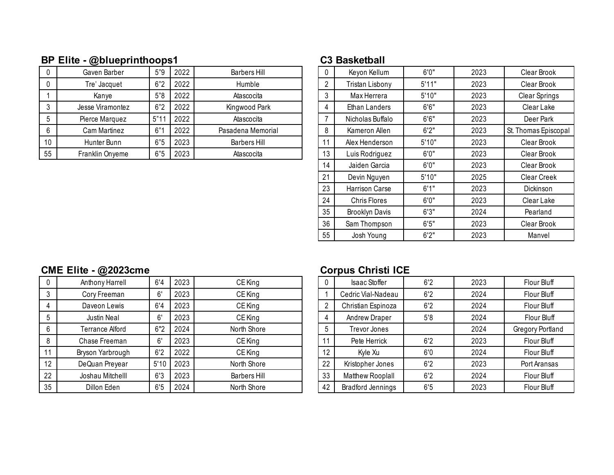# **BP Elite - @blueprinthoops1 C3 Basketball**

|    | Gaven Barber     | 5"9 | 2022 | <b>Barbers Hill</b> |    | Keyon Kellum           | 6'0'  | 2023 | Clear Brook          |
|----|------------------|-----|------|---------------------|----|------------------------|-------|------|----------------------|
|    | Tre' Jacquet     | 6"2 | 2022 | Humble              |    | <b>Tristan Lisbony</b> | 5'11" | 2023 | Clear Brook          |
|    | Kanye            | 5"8 | 2022 | Atascocita          | J  | Max Herrera            | 5'10" | 2023 | <b>Clear Springs</b> |
|    | Jesse Viramontez | 6"2 | 2022 | Kingwood Park       |    | Ethan Landers          | 6'6'' | 2023 | Clear Lake           |
|    | Pierce Marquez   | 5"1 | 2022 | Atascocita          |    | Nicholas Buffalo       | 6'6'' | 2023 | Deer Park            |
|    | Cam Martinez     | 6"  | 2022 | Pasadena Memorial   |    | Kameron Allen          | 6'2'  | 2023 | St. Thomas Episcopal |
| 10 | Hunter Bunn      | 6"5 | 2023 | <b>Barbers Hill</b> |    | Alex Henderson         | 5'10" | 2023 | Clear Brook          |
| 55 | Franklin Onyeme  | 6"5 | 2023 | Atascocita          | 13 | Luis Rodriguez         | 6'0'  | 2023 | Clear Brook          |

| 0  | Keyon Kellum          | 6'0'' | 2023 | Clear Brook          |
|----|-----------------------|-------|------|----------------------|
| 2  | Tristan Lisbony       | 5'11" | 2023 | Clear Brook          |
| 3  | Max Herrera           | 5'10" | 2023 | <b>Clear Springs</b> |
| 4  | Ethan Landers         | 6'6'' | 2023 | Clear Lake           |
| 7  | Nicholas Buffalo      | 6'6'' | 2023 | Deer Park            |
| 8  | Kameron Allen         | 6'2'' | 2023 | St. Thomas Episcopal |
| 11 | Alex Henderson        | 5'10" | 2023 | Clear Brook          |
| 13 | Luis Rodriguez        | 6'0'' | 2023 | Clear Brook          |
| 14 | Jaiden Garcia         | 6'0'' | 2023 | Clear Brook          |
| 21 | Devin Nguyen          | 5'10" | 2025 | <b>Clear Creek</b>   |
| 23 | <b>Harrison Carse</b> | 6'1"  | 2023 | Dickinson            |
| 24 | <b>Chris Flores</b>   | 6'0'' | 2023 | Clear Lake           |
| 35 | <b>Brooklyn Davis</b> | 6'3'' | 2024 | Pearland             |
| 36 | Sam Thompson          | 6'5'' | 2023 | Clear Brook          |
| 55 | Josh Young            | 6'2"  | 2023 | Manvel               |
|    |                       |       |      |                      |

# **CME Elite - @2023cme CME Elite - @2023cme CME Elite - @2023cme CME CME CONFINITY**

| 0  | Anthony Harrell        | 6'4  | 2023 | CE King             |              | <b>Isaac Stoffer</b>     | 6'2 | 2023 | Flour Bluff             |
|----|------------------------|------|------|---------------------|--------------|--------------------------|-----|------|-------------------------|
| 3  | Cory Freeman           | 6'   | 2023 | CE King             |              | Cedric Vial-Nadeau       | 6'2 | 2024 | Flour Bluff             |
|    | Daveon Lewis           | 6'4  | 2023 | CE King             |              | Christian Espinoza       | 6'2 | 2024 | Flour Bluff             |
| 5  | Justin Neal            | 6'   | 2023 | CE King             | 4            | <b>Andrew Draper</b>     | 5'8 | 2024 | Flour Bluff             |
| 6  | <b>Terrance Alford</b> | 6"2  | 2024 | North Shore         | <sub>5</sub> | Trevor Jones             |     | 2024 | <b>Gregory Portland</b> |
| 8  | Chase Freeman          | 6'   | 2023 | CE King             |              | Pete Herrick             | 6'2 | 2023 | Flour Bluff             |
|    | Bryson Yarbrough       | 6'2  | 2022 | CE King             | 12           | Kyle Xu                  | 6'0 | 2024 | Flour Bluff             |
| 12 | DeQuan Preyear         | 5'10 | 2023 | North Shore         | 22           | Kristopher Jones         | 6'2 | 2023 | Port Aransas            |
| 22 | Joshau Mitchelll       | 6'3  | 2023 | <b>Barbers Hill</b> | 33           | Matthew Rooplall         | 6'2 | 2024 | Flour Bluff             |
| 35 | Dillon Eden            | 6'5  | 2024 | North Shore         | 42           | <b>Bradford Jennings</b> | 6'5 | 2023 | Flour Bluff             |

| 0  | <b>Isaac Stoffer</b>     | 6'2 | 2023 | Flour Bluff      |
|----|--------------------------|-----|------|------------------|
|    | Cedric Vial-Nadeau       | 6'2 | 2024 | Flour Bluff      |
| 2  | Christian Espinoza       | 6'2 | 2024 | Flour Bluff      |
| 4  | Andrew Draper            | 5'8 | 2024 | Flour Bluff      |
| 5  | Trevor Jones             |     | 2024 | Gregory Portland |
| 11 | Pete Herrick             | 6'2 | 2023 | Flour Bluff      |
| 12 | Kyle Xu                  | 6'0 | 2024 | Flour Bluff      |
| 22 | Kristopher Jones         | 6'2 | 2023 | Port Aransas     |
| 33 | Matthew Rooplall         | 6'2 | 2024 | Flour Bluff      |
| 42 | <b>Bradford Jennings</b> | 6'5 | 2023 | Flour Bluff      |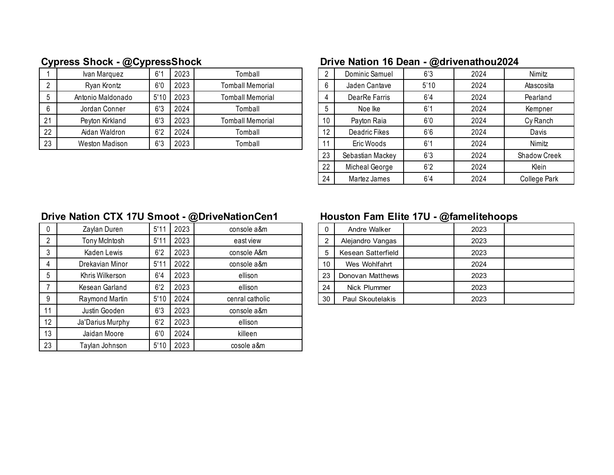|    | Ivan Marquez      | 6''  | 2023 | Tomball                 |    | Dominic Samuel | 6'3  | 2024 | Nimitz     |
|----|-------------------|------|------|-------------------------|----|----------------|------|------|------------|
|    | Ryan Krontz       | 6'0  | 2023 | Tomball Memorial        |    | Jaden Cantave  | 5'10 | 2024 | Atascosita |
|    | Antonio Maldonado | 5'10 | 2023 | <b>Tomball Memorial</b> |    | DearRe Farris  | 6'4  | 2024 | Pearland   |
|    | Jordan Conner     | 6'3  | 2024 | Tomball                 |    | Noe Ike        | 6'1  | 2024 | Kempner    |
| 21 | Peyton Kirkland   | 6'3  | 2023 | <b>Tomball Memorial</b> | 10 | Payton Raia    | 6'0  | 2024 | Cy Ranch   |
| 22 | Aidan Waldron     | 6'2  | 2024 | Tomball                 | 12 | Deadric Fikes  | 6'6  | 2024 | Davis      |
| 23 | Weston Madison    | 6'3  | 2023 | Tomball                 |    | Eric Woods     | 6'1  | 2024 | Nimitz     |

# **Cypress Shock - @CypressShock Drive Nation 16 Dean - @drivenathou2024**

| 2  | Dominic Samuel   | 6'3  | 2024 | Nimitz              |
|----|------------------|------|------|---------------------|
| 6  | Jaden Cantave    | 5'10 | 2024 | Atascosita          |
| 4  | DearRe Farris    | 6'4  | 2024 | Pearland            |
| 5  | Noe Ike          | 6'1  | 2024 | Kempner             |
| 10 | Payton Raia      | 6'0  | 2024 | Cy Ranch            |
| 12 | Deadric Fikes    | 6'6  | 2024 | Davis               |
| 11 | Eric Woods       | 6'1  | 2024 | Nimitz              |
| 23 | Sebastian Mackey | 6'3  | 2024 | <b>Shadow Creek</b> |
| 22 | Micheal George   | 6'2  | 2024 | Klein               |
| 24 | Martez James     | 6'4  | 2024 | <b>College Park</b> |

# **Drive Nation CTX 17U Smoot - @DriveNationCen1 Houston Fam Elite 17U - @famelitehoops**

| $\mathbf{0}$   | Zaylan Duren     | 5'11 | 2023 | console a&m     | 0  | Andre Walker       | 2023 |
|----------------|------------------|------|------|-----------------|----|--------------------|------|
| 2              | Tony McIntosh    | 5'11 | 2023 | east view       | 2  | Alejandro Vangas   | 2023 |
| 3              | Kaden Lewis      | 6'2  | 2023 | console A&m     | 5  | Kesean Satterfield | 2023 |
| $\overline{4}$ | Drekavian Minor  | 5'11 | 2022 | console a&m     | 10 | Wes Wohlfahrt      | 2024 |
| 5              | Khris Wilkerson  | 6'4  | 2023 | ellison         | 23 | Donovan Matthews   | 2023 |
|                | Kesean Garland   | 6'2  | 2023 | ellison         | 24 | Nick Plummer       | 2023 |
| -9             | Raymond Martin   | 5'10 | 2024 | cenral catholic | 30 | Paul Skoutelakis   | 2023 |
| 11             | Justin Gooden    | 6'3  | 2023 | console a&m     |    |                    |      |
| 12             | Ja'Darius Murphy | 6'2  | 2023 | ellison         |    |                    |      |
| 13             | Jaidan Moore     | 6'0  | 2024 | killeen         |    |                    |      |
| 23             | Taylan Johnson   | 5'10 | 2023 | cosole a&m      |    |                    |      |

| Andre Walker            | 2023 |  |
|-------------------------|------|--|
| Alejandro Vangas        | 2023 |  |
| Kesean Satterfield      | 2023 |  |
| Wes Wohlfahrt           | 2024 |  |
| Donovan Matthews        | 2023 |  |
| Nick Plummer            | 2023 |  |
| <b>Paul Skoutelakis</b> | 2023 |  |
|                         |      |  |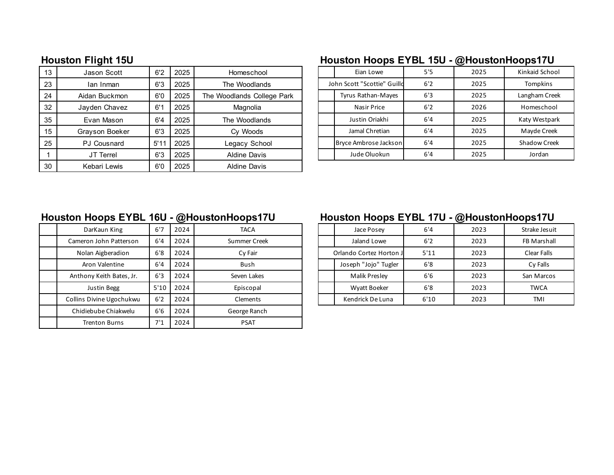| 13 | Jason Scott        | 6'2  | 2025 | Homeschool                 |  | Eian Lowe                   | 5'5 | 2025 | <b>Kinkaid School</b> |
|----|--------------------|------|------|----------------------------|--|-----------------------------|-----|------|-----------------------|
| 23 | lan Inman          | 6'3  | 2025 | The Woodlands              |  | John Scott "Scottie" Guilld | 6'2 | 2025 | Tompkins              |
| 24 | Aidan Buckmon      | 6'0  | 2025 | The Woodlands College Park |  | Tyrus Rathan-Mayes          | 6'3 | 2025 | Langham Creek         |
| 32 | Jayden Chavez      | 6'1  | 2025 | Magnolia                   |  | Nasir Price                 | 6'2 | 2026 | Homeschool            |
| 35 | Evan Mason         | 6'4  | 2025 | The Woodlands              |  | Justin Oriakhi              | 6'4 | 2025 | Katy Westpark         |
| 15 | Grayson Boeker     | 6'3  | 2025 | Cy Woods                   |  | Jamal Chretian              | 6'4 | 2025 | Mayde Creek           |
| 25 | <b>PJ Cousnard</b> | 5'11 | 2025 | Legacy School              |  | Bryce Ambrose Jackson       | 6'4 | 2025 | <b>Shadow Creek</b>   |
|    | JT Terrel          | 6'3  | 2025 | Aldine Davis               |  | Jude Oluokun                | 6'4 | 2025 | Jordan                |
| 30 | Kebari Lewis       | 6'0  | 2025 | <b>Aldine Davis</b>        |  |                             |     |      |                       |

# **Houston Flight 15U Houston Hoops EYBL 15U - @HoustonHoops17U**

|                             | Eian Lowe             | 5'5 | 2025 | Kinkaid School      |
|-----------------------------|-----------------------|-----|------|---------------------|
| John Scott "Scottie" Guilld |                       | 6'2 | 2025 | <b>Tompkins</b>     |
|                             | Tyrus Rathan-Mayes    | 6'3 | 2025 | Langham Creek       |
|                             | Nasir Price           | 6'2 | 2026 | Homeschool          |
|                             | Justin Oriakhi        | 6'4 | 2025 | Katy Westpark       |
|                             | Jamal Chretian        | 6'4 | 2025 | Mayde Creek         |
|                             | Bryce Ambrose Jackson | 6'4 | 2025 | <b>Shadow Creek</b> |
|                             | Jude Oluokun          | 6'4 | 2025 | Jordan              |

| DarKaun King             | 6'7  | 2024 | <b>TACA</b>  | Jace Posey              | 6'4  | 2023 | Strake Je  |
|--------------------------|------|------|--------------|-------------------------|------|------|------------|
| Cameron John Patterson   | 6'4  | 2024 | Summer Creek | Jaland Lowe             | 6'2  | 2023 | FB Mars    |
| Nolan Aigberadion        | 6'8  | 2024 | Cy Fair      | Orlando Cortez Horton J | 5'11 | 2023 | Clear F    |
| Aron Valentine           | 6'4  | 2024 | <b>Bush</b>  | Joseph "Jojo" Tugler    | 6'8  | 2023 | Cy Fa      |
| Anthony Keith Bates, Jr. | 6'3  | 2024 | Seven Lakes  | Malik Presley           | 6'6  | 2023 | San Ma     |
| Justin Begg              | 5'10 | 2024 | Episcopal    | Wyatt Boeker            | 6'8  | 2023 | TWC.       |
| Collins Divine Ugochukwu | 6'2  | 2024 | Clements     | Kendrick De Luna        | 6'10 | 2023 | <b>TMI</b> |
| Chidiebube Chiakwelu     | 6'6  | 2024 | George Ranch |                         |      |      |            |
| <b>Trenton Burns</b>     | 7'1  | 2024 | <b>PSAT</b>  |                         |      |      |            |
|                          |      |      |              |                         |      |      |            |

# **Houston Hoops EYBL 16U - @HoustonHoops17U Houston Hoops EYBL 17U - @HoustonHoops17U**

| DarKaun King             | 6'7  | 2024 | <b>TACA</b>  |                         | Jace Posev           | 6'4  | 2023 | Strake Jesuit      |
|--------------------------|------|------|--------------|-------------------------|----------------------|------|------|--------------------|
| Cameron John Patterson   | 6'4  | 2024 | Summer Creek |                         | Jaland Lowe          | 6'2  | 2023 | <b>FB Marshall</b> |
| Nolan Aigberadion        | 6'8  | 2024 | Cv Fair      | Orlando Cortez Horton J |                      | 5'11 | 2023 | Clear Falls        |
| Aron Valentine           | 6'4  | 2024 | <b>Bush</b>  |                         | Joseph "Jojo" Tugler | 6'8  | 2023 | Cy Falls           |
| Anthony Keith Bates, Jr. | 6'3  | 2024 | Seven Lakes  |                         | <b>Malik Presley</b> | 6'6  | 2023 | San Marcos         |
| Justin Begg              | 5'10 | 2024 | Episcopal    |                         | Wyatt Boeker         | 6'8  | 2023 | <b>TWCA</b>        |
| collins Divine Ugochukwu | 6'2  | 2024 | Clements     |                         | Kendrick De Luna     | 6'10 | 2023 | TMI                |
|                          |      |      |              |                         |                      |      |      |                    |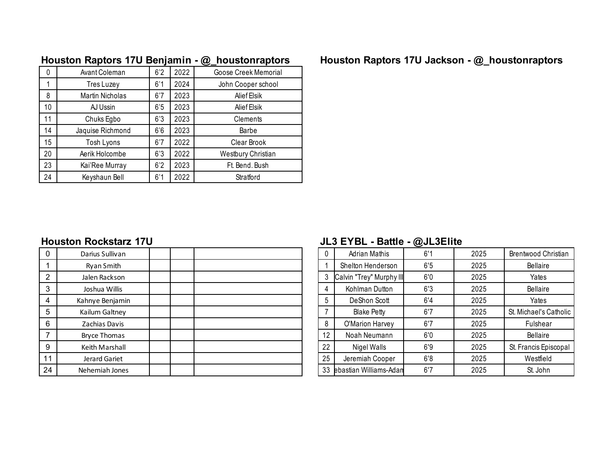| 2022<br>6'2<br>Avant Coleman<br>Goose Creek Memorial<br>0<br>2024<br>6'1<br>John Cooper school<br>Tres Luzey |  |
|--------------------------------------------------------------------------------------------------------------|--|
|                                                                                                              |  |
|                                                                                                              |  |
| 2023<br>6'7<br>8<br><b>Martin Nicholas</b><br>Alief Elsik                                                    |  |
| 2023<br>6'5<br>10<br>AJ Ussin<br>Alief Elsik                                                                 |  |
| 2023<br>11<br>6'3<br>Chuks Egbo<br>Clements                                                                  |  |
| 2023<br>14<br>6'6<br>Jaquise Richmond<br>Barbe                                                               |  |
| 2022<br>Tosh Lyons<br>6'7<br>15<br>Clear Brook                                                               |  |
| 2022<br>6'3<br>20<br>Aerik Holcombe<br>Westbury Christian                                                    |  |
| 2023<br>23<br>6'2<br>Kai'Ree Murray<br>Ft. Bend. Bush                                                        |  |
| 2022<br>24<br>6'1<br>Keyshaun Bell<br>Stratford                                                              |  |

# **Houston Raptors 17U Benjamin - @\_houstonraptors Houston Raptors 17U Jackson - @\_houstonraptors**

| $\mathbf{0}$   | Darius Sullivan     |  | 0  | <b>Adrian Mathis</b>      | 6'1 | 2025 | Brentwood Christian    |
|----------------|---------------------|--|----|---------------------------|-----|------|------------------------|
|                | Ryan Smith          |  |    | Shelton Henderson         | 6'5 | 2025 | Bellaire               |
| $\overline{2}$ | Jalen Rackson       |  |    | Calvin "Trey" Murphy III  | 6'0 | 2025 | Yates                  |
| 3              | Joshua Willis       |  | 4  | Kohlman Dutton            | 6'3 | 2025 | Bellaire               |
| 4              | Kahnye Benjamin     |  | 5  | DeShon Scott              | 6'4 | 2025 | Yates                  |
| 5              | Kailum Galtney      |  |    | <b>Blake Petty</b>        | 6'7 | 2025 | St. Michael's Catholic |
| 6              | Zachias Davis       |  | 8  | O'Marion Harvey           | 6'7 | 2025 | Fulshear               |
|                | <b>Bryce Thomas</b> |  | 12 | Noah Neumann              | 6'0 | 2025 | Bellaire               |
| 9              | Keith Marshall      |  | 22 | Nigel Walls               | 6'9 | 2025 | St. Francis Episcopal  |
| 11             | Jerard Gariet       |  | 25 | Jeremiah Cooper           | 6'8 | 2025 | Westfield              |
| 24             | Nehemiah Jones      |  |    | 33 ebastian Williams-Adan | 6'7 | 2025 | St. John               |

### **Houston Rockstarz 17U JL3 EYBL - Battle - @JL3Elite**

| 0  | <b>Adrian Mathis</b>     | 6'1 | 2025 | Brentwood Christian    |
|----|--------------------------|-----|------|------------------------|
|    | Shelton Henderson        | 6'5 | 2025 | Bellaire               |
| 3  | Calvin "Trey" Murphy III | 6'0 | 2025 | Yates                  |
| 4  | Kohlman Dutton           | 6'3 | 2025 | Bellaire               |
| 5  | DeShon Scott             | 6'4 | 2025 | Yates                  |
| 7  | <b>Blake Petty</b>       | 6'7 | 2025 | St. Michael's Catholic |
| 8  | O'Marion Harvey          | 6'7 | 2025 | Fulshear               |
| 12 | Noah Neumann             | 6'0 | 2025 | Bellaire               |
| 22 | Nigel Walls              | 6'9 | 2025 | St. Francis Episcopal  |
| 25 | Jeremiah Cooper          | 6'8 | 2025 | Westfield              |
| 33 | ebastian Williams-Adan   | 6'7 | 2025 | St. John               |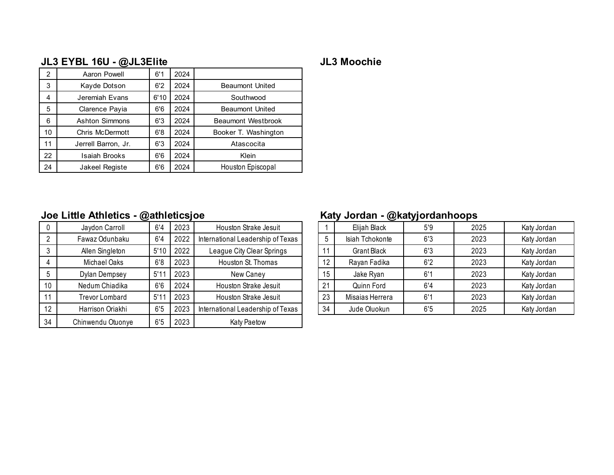# **JL3 EYBL 16U - @JL3Elite JL3 Moochie**

| $\overline{2}$ | Aaron Powell          | 6'1  | 2024 |                        |
|----------------|-----------------------|------|------|------------------------|
| 3              | Kayde Dotson          | 6'2  | 2024 | <b>Beaumont United</b> |
| 4              | Jeremiah Evans        | 6'10 | 2024 | Southwood              |
| 5              | Clarence Payia        | 6'6  | 2024 | <b>Beaumont United</b> |
| 6              | Ashton Simmons        | 6'3  | 2024 | Beaumont Westbrook     |
| 10             | Chris McDermott       | 6'8  | 2024 | Booker T. Washington   |
| 11             | Jerrell Barron, Jr.   | 6'3  | 2024 | Atascocita             |
| 22             | Isaiah Brooks         | 6'6  | 2024 | Klein                  |
| 24             | <b>Jakeel Registe</b> | 6'6  | 2024 | Houston Episcopal      |

## **Joe Little Athletics - @athleticsjoe Katy Jordan - @katyjordanhoops**

|    | Jaydon Carroll        | 6'4  | 2023 | Houston Strake Jesuit             |    | Elijah Black    | 5'9 | 2025 | Katy Jordan |
|----|-----------------------|------|------|-----------------------------------|----|-----------------|-----|------|-------------|
|    | Fawaz Odunbaku        | 6'4  | 2022 | International Leadership of Texas | h  | Isiah Tchokonte | 6'3 | 2023 | Katy Jordan |
|    | Allen Singleton       | 5'10 | 2022 | League City Clear Springs         |    | Grant Black     | 6'3 | 2023 | Katy Jordan |
|    | Michael Oaks          | 6'8  | 2023 | Houston St. Thomas                | 12 | Rayan Fadika    | 6'2 | 2023 | Katy Jordan |
|    | Dylan Dempsey         | 5'1' | 2023 | New Caney                         | 15 | Jake Ryan       | 6'1 | 2023 | Katy Jordan |
| 10 | Nedum Chiadika        | 6'6  | 2024 | Houston Strake Jesuit             | 21 | Quinn Ford      | 6'4 | 2023 | Katy Jordan |
|    | <b>Trevor Lombard</b> | 5'1' | 2023 | Houston Strake Jesuit             | 23 | Misaias Herrera | 6'1 | 2023 | Katy Jordan |
| 12 | Harrison Oriakhi      | 6'5  | 2023 | International Leadership of Texas | 34 | Jude Oluokun    | 6'5 | 2025 | Katy Jordan |
| 34 | Chinwendu Otuonye     | 6'5  | 2023 | Katy Paetow                       |    |                 |     |      |             |

|    |                    | --  |      |             |
|----|--------------------|-----|------|-------------|
|    | Elijah Black       | 5'9 | 2025 | Katy Jordan |
| 5  | Isiah Tchokonte    | 6'3 | 2023 | Katy Jordan |
| 11 | <b>Grant Black</b> | 6'3 | 2023 | Katy Jordan |
| 12 | Rayan Fadika       | 6'2 | 2023 | Katy Jordan |
| 15 | Jake Ryan          | 6'1 | 2023 | Katy Jordan |
| 21 | Quinn Ford         | 6'4 | 2023 | Katy Jordan |
| 23 | Misaias Herrera    | 6'1 | 2023 | Katy Jordan |
| 34 | Jude Oluokun       | 6'5 | 2025 | Katy Jordan |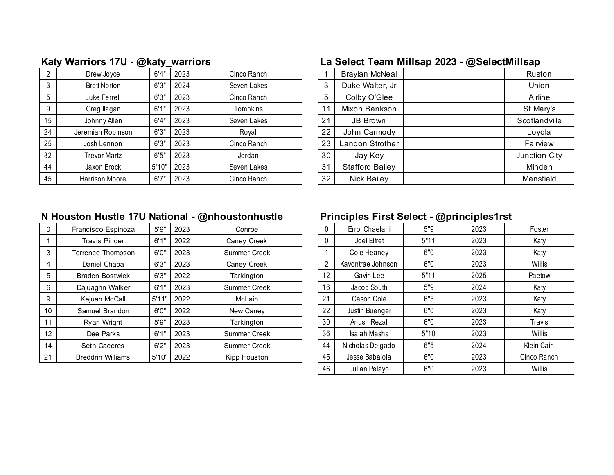|    |                     | --    |      |             |    |                        | $\tilde{\phantom{a}}$ |               |
|----|---------------------|-------|------|-------------|----|------------------------|-----------------------|---------------|
|    | Drew Joyce          | 6'4"  | 2023 | Cinco Ranch |    | Braylan McNeal         |                       | Ruston        |
|    | <b>Brett Norton</b> | 6'3'' | 2024 | Seven Lakes | 3  | Duke Walter, Jr        |                       | Union         |
|    | Luke Ferrell        | 6'3'' | 2023 | Cinco Ranch | 5  | Colby O'Glee           |                       | Airline       |
| 9  | Greg llagan         | 6'1"  | 2023 | Tompkins    |    | Mixon Bankson          |                       | St Mary's     |
| 15 | Johnny Allen        | 6'4"  | 2023 | Seven Lakes | 21 | JB Brown               |                       | Scotlandville |
| 24 | Jeremiah Robinson   | 6'3'' | 2023 | Royal       | 22 | John Carmody           |                       | Loyola        |
| 25 | Josh Lennon         | 6'3'' | 2023 | Cinco Ranch | 23 | Landon Strother        |                       | Fairview      |
| 32 | Trevor Martz        | 6'5'' | 2023 | Jordan      | 30 | Jay Key                |                       | Junction City |
| 44 | Jaxon Brock         | 5'10' | 2023 | Seven Lakes | 31 | <b>Stafford Bailey</b> |                       | Minden        |
| 45 | Harrison Moore      | 6'7'' | 2023 | Cinco Ranch | 32 | Nick Bailey            |                       | Mansfield     |

# **Katy Warriors 17U - @katy\_warriors La Select Team Millsap 2023 - @SelectMillsap**

|    | Braylan McNeal         | Ruston        |
|----|------------------------|---------------|
| 3  | Duke Walter, Jr        | Union         |
| 5  | Colby O'Glee           | Airline       |
| 11 | Mixon Bankson          | St Mary's     |
| 21 | <b>JB Brown</b>        | Scotlandville |
| 22 | John Carmody           | Loyola        |
| 23 | Landon Strother        | Fairview      |
| 30 | Jay Key                | Junction City |
| 31 | <b>Stafford Bailey</b> | Minden        |
| 32 | Nick Bailey            | Mansfield     |

### **N Houston Hustle 17U National - @nhoustonhustle Principles First Select - @principles1rst**

| 0  | Francisco Espinoza       | 5'9'' | 2023 | Conroe       |    | Errol Chaelani    | 5"9  | 2023 | Foster        |
|----|--------------------------|-------|------|--------------|----|-------------------|------|------|---------------|
|    | <b>Travis Pinder</b>     | 6'1"  | 2022 | Caney Creek  |    | Joel Elfret       | 5"11 | 2023 | Katy          |
| 3  | Terrence Thompson        | 6'0'' | 2023 | Summer Creek |    | Cole Heaney       | 6"0  | 2023 | Katy          |
| 4  | Daniel Chapa             | 6'3'' | 2023 | Caney Creek  | 2  | Kavontrae Johnson | 6"0  | 2023 | Willis        |
| 5  | <b>Braden Bostwick</b>   | 6'3'' | 2022 | Tarkington   | 12 | Gavin Lee         | 5"11 | 2025 | Paetow        |
| 6  | Dajuaghn Walker          | 6'1"  | 2023 | Summer Creek | 16 | Jacob South       | 5"9  | 2024 | Katy          |
| 9  | Kejuan McCall            | 5'11" | 2022 | McLain       | 21 | Cason Cole        | 6"5  | 2023 | Katy          |
| 10 | Samuel Brandon           | 6'0'' | 2022 | New Caney    | 22 | Justin Buenger    | 6"0  | 2023 | Katy          |
| 11 | Ryan Wright              | 5'9'' | 2023 | Tarkington   | 30 | Anush Rezal       | 6"0  | 2023 | <b>Travis</b> |
| 12 | Dee Parks                | 6'1"  | 2023 | Summer Creek | 36 | Isaiah Masha      | 5"10 | 2023 | Willis        |
| 14 | <b>Seth Caceres</b>      | 6'2"  | 2023 | Summer Creek | 44 | Nicholas Delgado  | 6"5  | 2024 | Klein Cain    |
| 21 | <b>Breddrin Williams</b> | 5'10" | 2022 | Kipp Houston | 45 | Jesse Babalola    | 6"0  | 2023 | Cinco Ranch   |
|    |                          |       |      |              |    |                   |      |      |               |

| 0  | Errol Chaelani    | 5"9  | 2023 | Foster      |
|----|-------------------|------|------|-------------|
| 0  | Joel Elfret       | 5"11 | 2023 | Katy        |
|    | Cole Heaney       | 6"0  | 2023 | Katy        |
| 2  | Kavontrae Johnson | 6"0  | 2023 | Willis      |
| 12 | Gavin Lee         | 5"11 | 2025 | Paetow      |
| 16 | Jacob South       | 5"9  | 2024 | Katy        |
| 21 | Cason Cole        | 6"5  | 2023 | Katy        |
| 22 | Justin Buenger    | 6"0  | 2023 | Katy        |
| 30 | Anush Rezal       | 6"0  | 2023 | Travis      |
| 36 | Isaiah Masha      | 5"10 | 2023 | Willis      |
| 44 | Nicholas Delgado  | 6"5  | 2024 | Klein Cain  |
| 45 | Jesse Babalola    | 6"0  | 2023 | Cinco Ranch |
| 46 | Julian Pelayo     | 6"0  | 2023 | Willis      |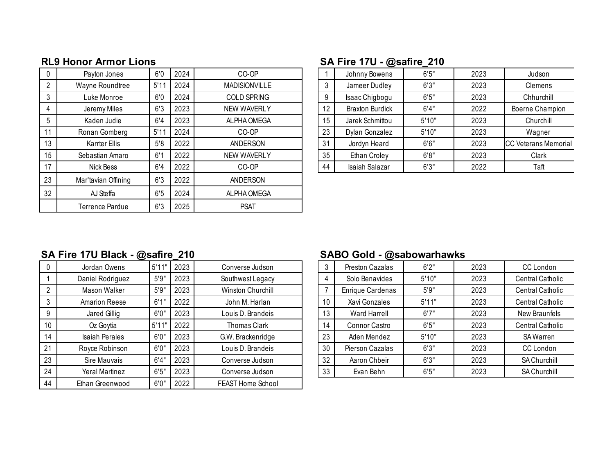|    | Payton Jones        | 6'0  | 2024 | CO-OP                |    | Johnny Bowens          | 6'5'' | 2023 | Judson                      |
|----|---------------------|------|------|----------------------|----|------------------------|-------|------|-----------------------------|
|    | Wayne Roundtree     | 5'11 | 2024 | <b>MADISIONVILLE</b> | 3  | Jameer Dudley          | 6'3'' | 2023 | Clemens                     |
|    | Luke Monroe         | 6'0  | 2024 | <b>COLD SPRING</b>   | 9  | Isaac Chigbogu         | 6'5'' | 2023 | Chhurchill                  |
|    | Jeremy Miles        | 6'3  | 2023 | <b>NEW WAVERLY</b>   | 12 | <b>Braxton Burdick</b> | 6'4'' | 2022 | Boerne Champion             |
|    | Kaden Judie         | 6'4  | 2023 | ALPHA OMEGA          | 15 | Jarek Schmittou        | 5'10" | 2023 | Churchill                   |
| 11 | Ronan Gomberg       | 5'1' | 2024 | CO-OP                | 23 | Dylan Gonzalez         | 5'10" | 2023 | Wagner                      |
| 13 | Karrter Ellis       | 5'8  | 2022 | ANDERSON             | 31 | Jordyn Heard           | 6'6'' | 2023 | <b>CC Veterans Memorial</b> |
| 15 | Sebastian Amaro     | 6'1  | 2022 | <b>NEW WAVERLY</b>   | 35 | Ethan Croley           | 6'8'' | 2023 | Clark                       |
| 17 | Nick Bess           | 6'4  | 2022 | CO-OP                | 44 | Isaiah Salazar         | 6'3'' | 2022 | Taft                        |
| 23 | Mar'tavian Offining | 6'3  | 2022 | ANDERSON             |    |                        |       |      |                             |
| 32 | AJ Steffa           | 6'5  | 2024 | ALPHA OMEGA          |    |                        |       |      |                             |
|    | Terrence Pardue     | 6'3  | 2025 | <b>PSAT</b>          |    |                        |       |      |                             |

## **RL9 Honor Armor Lions SA Fire 17U - @safire\_210**

|    | Johnny Bowens          | 6'5'' | 2023 | Judson                      |
|----|------------------------|-------|------|-----------------------------|
| 3  | Jameer Dudley          | 6'3'' | 2023 | Clemens                     |
| 9  | Isaac Chigbogu         | 6'5'' | 2023 | Chhurchill                  |
| 12 | <b>Braxton Burdick</b> | 6'4"  | 2022 | Boerne Champion             |
| 15 | Jarek Schmittou        | 5'10" | 2023 | Churchill                   |
| 23 | Dylan Gonzalez         | 5'10" | 2023 | Wagner                      |
| 31 | Jordyn Heard           | 6'6'' | 2023 | <b>CC Veterans Memorial</b> |
| 35 | Ethan Croley           | 6'8"  | 2023 | Clark                       |
| 44 | Isaiah Salazar         | 6'3'' | 2022 | Taft                        |

# **SA Fire 17U Black - @safire\_210 SABO Gold - @sabowarhawks**

| U  | Jordan Owens          | 5'11" | 2023 | Converse Judson     |    | Preston Cazalas     | 6'2'' | 2023 | CC London               |
|----|-----------------------|-------|------|---------------------|----|---------------------|-------|------|-------------------------|
|    | Daniel Rodriguez      | 5'9'' | 2023 | Southwest Legacy    |    | Solo Benavides      | 5'10" | 2023 | <b>Central Catholic</b> |
|    | Mason Walker          | 5'9'' | 2023 | Winston Churchill   |    | Enrique Cardenas    | 5'9'' | 2023 | Central Catholic        |
| 3  | Amarion Reese         | 6'1"  | 2022 | John M. Harlan      | 10 | Xavi Gonzales       | 5'11" | 2023 | <b>Central Catholic</b> |
| 9  | Jared Gillig          | 6'0'' | 2023 | Louis D. Brandeis   | 13 | <b>Ward Harrell</b> | 6'7'' | 2023 | New Braunfels           |
| 10 | Oz Goytia             | 5'11' | 2022 | <b>Thomas Clark</b> | 14 | Connor Castro       | 6'5'' | 2023 | Central Catholic        |
| 14 | <b>Isaiah Perales</b> | 6'0'' | 2023 | G.W. Brackenridge   | 23 | Aden Mendez         | 5'10" | 2023 | SA Warren               |
| 21 | Royce Robinson        | 6'0'' | 2023 | Louis D. Brandeis   | 30 | Pierson Cazalas     | 6'3'' | 2023 | CC London               |
| 23 | Sire Mauvais          | 6'4'' | 2023 | Converse Judson     | 32 | Aaron Chbeir        | 6'3'' | 2023 | SA Churchill            |
| 24 | Yeral Martinez        | 6'5'' | 2023 | Converse Judson     | 33 | Evan Behn           | 6'5'' | 2023 | SA Churchill            |
| 44 | Ethan Greenwood       | 6'0'' | 2022 | FEAST Home School   |    |                     |       |      |                         |

| 3  | <b>Preston Cazalas</b> | 6'2"  | 2023 | CC London               |
|----|------------------------|-------|------|-------------------------|
| 4  | Solo Benavides         | 5'10" | 2023 | <b>Central Catholic</b> |
| 7  | Enrique Cardenas       | 5'9'' | 2023 | Central Catholic        |
| 10 | Xavi Gonzales          | 5'11" | 2023 | Central Catholic        |
| 13 | Ward Harrell           | 6'7'' | 2023 | New Braunfels           |
| 14 | Connor Castro          | 6'5'' | 2023 | <b>Central Catholic</b> |
| 23 | Aden Mendez            | 5'10" | 2023 | <b>SA Warren</b>        |
| 30 | Pierson Cazalas        | 6'3'' | 2023 | CC London               |
| 32 | Aaron Chbeir           | 6'3'' | 2023 | <b>SA Churchill</b>     |
| 33 | Evan Behn              | 6'5'' | 2023 | SA Churchill            |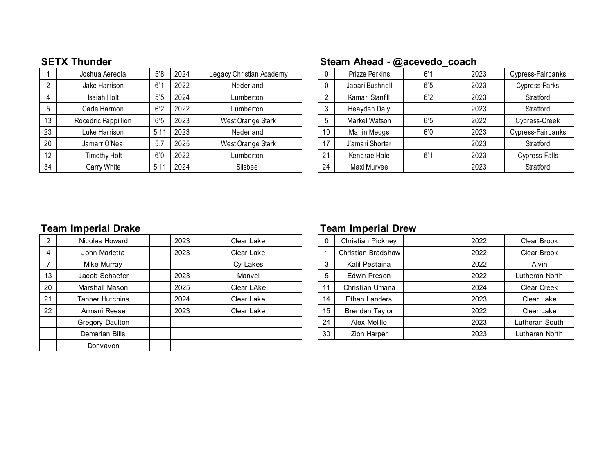|    | Joshua Aereola      | 5'8            | 2024 | Legacy Christian Academy |    | Prizze Perkins  | 6'1 | 2023 | Cypress-Fairbanks |
|----|---------------------|----------------|------|--------------------------|----|-----------------|-----|------|-------------------|
|    | Jake Harrison       | 6'1            | 2022 | Nederland                |    | Jabari Bushnell | 6'5 | 2023 | Cypress-Parks     |
|    | Isaiah Holt         | 5 <sup>5</sup> | 2024 | Lumberton                |    | Kamari Stanfill | 6'2 | 2023 | Stratford         |
|    | Cade Harmon         | 6'2            | 2022 | Lumberton                |    | Heayden Daly    |     | 2023 | Stratford         |
| 13 | Rocedric Pappillion | 6'5            | 2023 | West Orange Stark        |    | Markel Watson   | 6'5 | 2022 | Cypress-Creek     |
| 23 | Luke Harrison       | 5'1            | 2023 | Nederland                | 10 | Marlin Meggs    | 6'0 | 2023 | Cypress-Fairbanks |
| 20 | Jamarr O'Neal       | 5,7            | 2025 | West Orange Stark        | 17 | J'amari Shorter |     | 2023 | Stratford         |
| 12 | Timothy Holt        | 6'0            | 2022 | Lumberton                | 21 | Kendrae Hale    | 6'1 | 2023 | Cypress-Falls     |
| 34 | Garry White         | 5'1            | 2024 | Silsbee                  | 24 | Maxi Murvee     |     | 2023 | Stratford         |

### **SETX Thunder Steam Ahead - @acevedo\_coach**

| 0  | Prizze Perkins  | 6'1 | 2023 | Cypress-Fairbanks |
|----|-----------------|-----|------|-------------------|
| 0  | Jabari Bushnell | 6'5 | 2023 | Cypress-Parks     |
| 2  | Kamari Stanfill | 6'2 | 2023 | Stratford         |
| 3  | Heayden Daly    |     | 2023 | Stratford         |
| 5  | Markel Watson   | 6'5 | 2022 | Cypress-Creek     |
| 10 | Marlin Meggs    | 6'0 | 2023 | Cypress-Fairbanks |
| 17 | J'amari Shorter |     | 2023 | Stratford         |
| 21 | Kendrae Hale    | 6'1 | 2023 | Cypress-Falls     |
| 24 | Maxi Murvee     |     | 2023 | Stratford         |

### **Team Imperial Drake Team Imperial Drew**

| 2  | Nicolas Howard  | 2023 | Clear Lake | $\mathbf 0$ | <b>Christian Pickney</b> | 2022 | Clear Brook        |
|----|-----------------|------|------------|-------------|--------------------------|------|--------------------|
| 4  | John Marietta   | 2023 | Clear Lake |             | Christian Bradshaw       | 2022 | Clear Brook        |
|    | Mike Murray     |      | Cy Lakes   |             | Kalil Pestaina           | 2022 | <b>Alvin</b>       |
| 13 | Jacob Schaefer  | 2023 | Manvel     |             | Edwin Preson             | 2022 | Lutheran North     |
| 20 | Marshall Mason  | 2025 | Clear LAke |             | Christian Umana          | 2024 | <b>Clear Creek</b> |
| 21 | Tanner Hutchins | 2024 | Clear Lake | 14          | Ethan Landers            | 2023 | Clear Lake         |
| 22 | Armani Reese    | 2023 | Clear Lake | 15          | Brendan Taylor           | 2022 | Clear Lake         |
|    | Gregory Daulton |      |            | 24          | Alex Melillo             | 2023 | Lutheran South     |
|    | Demarian Bills  |      |            | 30          | Zion Harper              | 2023 | Lutheran North     |
|    | Donvavon        |      |            |             |                          |      |                    |

| Nicolas Howard  | 2023 | Clear Lake | 0  | <b>Christian Pickney</b> | 2022 | Clear Brook        |
|-----------------|------|------------|----|--------------------------|------|--------------------|
| John Marietta   | 2023 | Clear Lake |    | Christian Bradshaw       | 2022 | Clear Brook        |
| Mike Murray     |      | Cy Lakes   | 3  | Kalil Pestaina           | 2022 | Alvin              |
| Jacob Schaefer  | 2023 | Manvel     | 5  | Edwin Preson             | 2022 | Lutheran North     |
| Marshall Mason  | 2025 | Clear LAke | 11 | Christian Umana          | 2024 | <b>Clear Creek</b> |
| Tanner Hutchins | 2024 | Clear Lake | 14 | Ethan Landers            | 2023 | Clear Lake         |
| Armani Reese    | 2023 | Clear Lake | 15 | Brendan Taylor           | 2022 | Clear Lake         |
| Gregory Daulton |      |            | 24 | Alex Melillo             | 2023 | Lutheran South     |
| Demarian Bills  |      |            | 30 | Zion Harper              | 2023 | Lutheran North     |
|                 |      |            |    |                          |      |                    |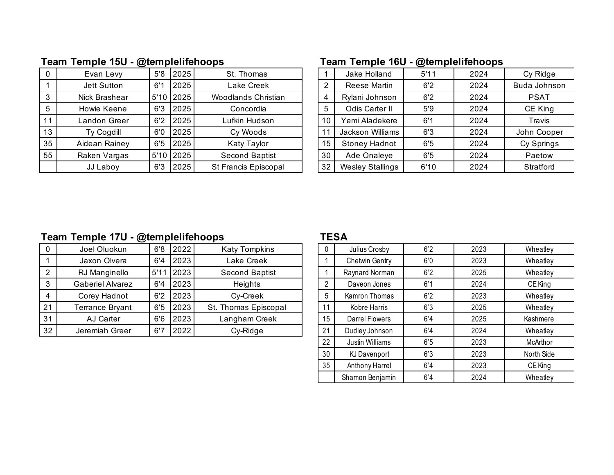|    | Evan Levy     | 5'8 | 2025          | St. Thomas            |    | Jake Holland            | 5'11 | 2024 | Cy Ridge     |
|----|---------------|-----|---------------|-----------------------|----|-------------------------|------|------|--------------|
|    | Jett Sutton   | 6'1 | 2025          | Lake Creek            |    | Reese Martin            | 6'2  | 2024 | Buda Johnson |
|    | Nick Brashear |     | $5'10$   2025 | Woodlands Christian   | 4  | Rylani Johnson          | 6'2  | 2024 | <b>PSAT</b>  |
| 5  | Howie Keene   | 6'3 | 2025          | Concordia             | 5  | Odis Carter II          | 5'9  | 2024 | CE King      |
| 11 | Landon Greer  | 6'2 | 2025          | Lufkin Hudson         | 10 | Yemi Aladekere          | 6'1  | 2024 | Travis       |
| 13 | Ty Cogdill    | 6'0 | 2025          | Cy Woods              |    | Jackson Williams        | 6'3  | 2024 | John Cooper  |
| 35 | Aidean Rainey | 6'5 | 2025          | Katy Taylor           | 15 | <b>Stoney Hadnot</b>    | 6'5  | 2024 | Cy Springs   |
| 55 | Raken Vargas  |     | $5'10$   2025 | <b>Second Baptist</b> | 30 | Ade Onaleye             | 6'5  | 2024 | Paetow       |
|    | JJ Laboy      | 6'3 | 2025          | St Francis Episcopal  | 32 | <b>Wesley Stallings</b> | 6'10 | 2024 | Stratford    |
|    |               |     |               |                       |    |                         |      |      |              |

# **Team Temple 15U - @templelifehoops Team Temple 16U - @templelifehoops**

| 5'8 | 2025 | St. Thomas               |    | Jake Holland            | 5'11 | 2024 | Cy Ridge     |
|-----|------|--------------------------|----|-------------------------|------|------|--------------|
| 6'1 | 2025 | Lake Creek               | ົ  | Reese Martin            | 6'2  | 2024 | Buda Johnson |
|     |      | Woodlands Christian      |    | Rylani Johnson          | 6'2  | 2024 | <b>PSAT</b>  |
| 6'3 | 2025 | Concordia                | 5  | Odis Carter II          | 5'9  | 2024 | CE King      |
| 6'2 | 2025 | Lufkin Hudson            | 10 | Yemi Aladekere          | 6'1  | 2024 | Travis       |
| 6'0 | 2025 | Cy Woods                 | 11 | Jackson Williams        | 6'3  | 2024 | John Cooper  |
| 6'5 | 2025 | Katy Taylor              | 15 | <b>Stoney Hadnot</b>    | 6'5  | 2024 | Cy Springs   |
|     |      | <b>Second Baptist</b>    | 30 | Ade Onaleye             | 6'5  | 2024 | Paetow       |
| 6'3 | 2025 | St Francis Episcopal     | 32 | <b>Wesley Stallings</b> | 6'10 | 2024 | Stratford    |
|     |      | 5'10 2025<br>$5'10$ 2025 |    |                         |      |      |              |

### **Team Temple 17U - @templelifehoops TESA**

|    | Joel Oluokun            | 6'8 | 2022        | <b>Katy Tompkins</b> |    | Julius Crosby  | 6'2 | 2023 | Wheatley |
|----|-------------------------|-----|-------------|----------------------|----|----------------|-----|------|----------|
|    | Jaxon Olvera            | 6'4 | 2023        | Lake Creek           |    | Chetwin Gentry | 6'0 | 2023 | Wheatley |
|    | RJ Manginello           |     | $5'11$ 2023 | Second Baptist       |    | Raynard Norman | 6'2 | 2025 | Wheatley |
| 3  | <b>Gaberiel Alvarez</b> | 6'4 | 2023        | <b>Heights</b>       |    | Daveon Jones   | 6'1 | 2024 | CE King  |
| 4  | Corey Hadnot            | 6'2 | 2023        | Cv-Creek             |    | Kamron Thomas  | 6'2 | 2023 | Wheatley |
| 21 | Terrance Bryant         | 6'5 | 2023        | St. Thomas Episcopal |    | Kobre Harris   | 6'3 | 2025 | Wheatley |
| 31 | AJ Carter               | 6'6 | 2023        | Langham Creek        | 15 | Darrel Flowers | 6'4 | 2025 | Kashmere |
| 32 | Jeremiah Greer          | 6'7 | 2022        | Cy-Ridge             | 21 | Dudley Johnson | 6'4 | 2024 | Wheatley |

| 0  | Julius Crosby          | 6'2 | 2023 | Wheatley   |
|----|------------------------|-----|------|------------|
| 1  | <b>Chetwin Gentry</b>  | 6'0 | 2023 | Wheatley   |
| 1  | Raynard Norman         | 6'2 | 2025 | Wheatley   |
| 2  | Daveon Jones           | 6'1 | 2024 | CE King    |
| 5  | Kamron Thomas          | 6'2 | 2023 | Wheatley   |
| 11 | Kobre Harris           | 6'3 | 2025 | Wheatley   |
| 15 | Darrel Flowers         | 6'4 | 2025 | Kashmere   |
| 21 | Dudley Johnson         | 6'4 | 2024 | Wheatley   |
| 22 | <b>Justin Williams</b> | 6'5 | 2023 | McArthor   |
| 30 | <b>KJ</b> Davenport    | 6'3 | 2023 | North Side |
| 35 | Anthony Harrel         | 6'4 | 2023 | CE King    |
|    | Shamon Benjamin        | 6'4 | 2024 | Wheatley   |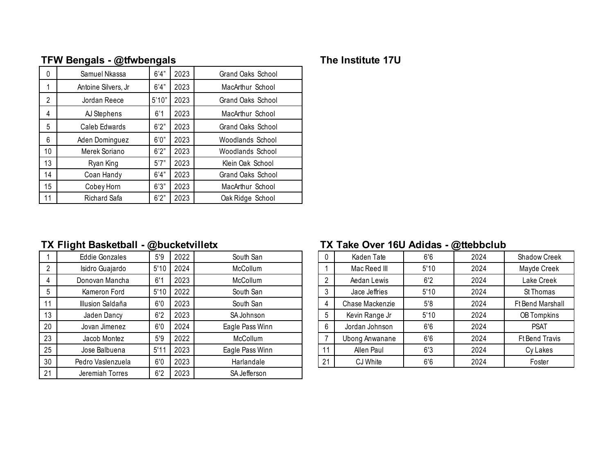|   | $\mathbf{u}$ or Bengalo - wavengalo |       |      |                   |  |  |  |  |  |  |  |
|---|-------------------------------------|-------|------|-------------------|--|--|--|--|--|--|--|
| 0 | Samuel Nkassa                       | 6'4"  | 2023 | Grand Oaks School |  |  |  |  |  |  |  |
|   | Antoine Silvers, Jr                 | 6'4'' | 2023 | MacArthur School  |  |  |  |  |  |  |  |
| 2 | Jordan Reece                        | 5'10" | 2023 | Grand Oaks School |  |  |  |  |  |  |  |
|   | AJ Stephens                         | 6'1   | 2023 | MacArthur School  |  |  |  |  |  |  |  |
| 5 | Caleb Edwards                       | 6'2"  | 2023 | Grand Oaks School |  |  |  |  |  |  |  |
| 6 | Aden Dominguez                      | 6'0'' | 2023 | Woodlands School  |  |  |  |  |  |  |  |

10 | Merek Soriano | 6'2" | 2023 | Woodlands School 13 Ryan King | 5'7" | 2023 | Klein Oak School 14 Coan Handy | 6'4" | 2023 | Grand Oaks School 15 Cobey Horn 6'3" | 2023 | MacArthur School 11 Richard Safa | 6'2" | 2023 | Oak Ridge School

### **TFW Bengals - @tfwbengals The Institute 17U**

### **TX Flight Basketball - @bucketvilletx TX Take Over 16U Adidas - @ttebbclub**

|    | <b>Eddie Gonzales</b> | 5'9  | 2022 | South San       |               | Kaden Tate            | 6'6  | 2024 | Shadow Creek          |
|----|-----------------------|------|------|-----------------|---------------|-----------------------|------|------|-----------------------|
| 2  | Isidro Guajardo       | 5'10 | 2024 | McCollum        |               | Mac Reed III          | 5'10 | 2024 | Mayde Creek           |
| 4  | Donovan Mancha        | 6'1  | 2023 | McCollum        |               | Aedan Lewis           | 6'2  | 2024 | Lake Creek            |
| 5  | Kameron Ford          | 5'10 | 2022 | South San       |               | Jace Jeffries         | 5'10 | 2024 | St Thomas             |
| 11 | Illusion Saldaña      | 6'0  | 2023 | South San       |               | Chase Mackenzie       | 5'8  | 2024 | Ft Bend Marshall      |
| 13 | Jaden Dancy           | 6'2  | 2023 | SA Johnson      | $\mathfrak b$ | Kevin Range Jr        | 5'10 | 2024 | OB Tompkins           |
| 20 | Jovan Jimenez         | 6'0  | 2024 | Eagle Pass Winn | 6             | Jordan Johnson        | 6'6  | 2024 | <b>PSAT</b>           |
| 23 | Jacob Montez          | 5'9  | 2022 | McCollum        |               | <b>Ubong Anwanane</b> | 6'6  | 2024 | <b>Ft Bend Travis</b> |
| 25 | Jose Balbuena         | 5'1' | 2023 | Eagle Pass Winn |               | Allen Paul            | 6'3  | 2024 | Cy Lakes              |
| 30 | Pedro Vaslenzuela     | 6'0  | 2023 | Harlandale      | 21            | CJ White              | 6'6  | 2024 | Foster                |
| 21 | Jeremiah Torres       | 6'2  | 2023 | SA Jefferson    |               |                       |      |      |                       |

| 0  | Kaden Tate            | 6'6  | 2024 | <b>Shadow Creek</b>     |
|----|-----------------------|------|------|-------------------------|
|    | Mac Reed III          | 5'10 | 2024 | Mayde Creek             |
| 2  | Aedan Lewis           | 6'2  | 2024 | Lake Creek              |
| 3  | Jace Jeffries         | 5'10 | 2024 | St Thomas               |
| 4  | Chase Mackenzie       | 5'8  | 2024 | <b>Ft Bend Marshall</b> |
| 5  | Kevin Range Jr        | 5'10 | 2024 | OB Tompkins             |
| 6  | Jordan Johnson        | 6'6  | 2024 | <b>PSAT</b>             |
| 7  | <b>Ubong Anwanane</b> | 6'6  | 2024 | <b>Ft Bend Travis</b>   |
| 11 | Allen Paul            | 6'3  | 2024 | Cy Lakes                |
| 21 | CJ White              | 6'6  | 2024 | Foster                  |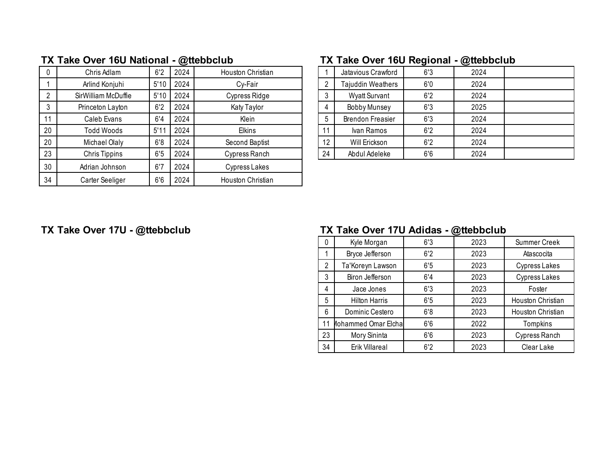|    | Chris Adlam          | 6'2  | 2024 | Houston Christian |                | Jatavious Crawford       | 6'3 | 2024 |
|----|----------------------|------|------|-------------------|----------------|--------------------------|-----|------|
|    | Arlind Konjuhi       | 5'10 | 2024 | Cy-Fair           | $\overline{2}$ | <b>Tajuddin Weathers</b> | 6'0 | 2024 |
|    | SirWilliam McDuffie  | 5'10 | 2024 | Cypress Ridge     | 3              | <b>Wyatt Survant</b>     | 6'2 | 2024 |
|    | Princeton Layton     | 6'2  | 2024 | Katy Taylor       | $\overline{4}$ | Bobby Munsey             | 6'3 | 2025 |
| 11 | Caleb Evans          | 6'4  | 2024 | Klein             | 5              | <b>Brendon Freasier</b>  | 6'3 | 2024 |
| 20 | Todd Woods           | 5'11 | 2024 | <b>Elkins</b>     | 11             | Ivan Ramos               | 6'2 | 2024 |
| 20 | Michael Olaly        | 6'8  | 2024 | Second Baptist    | 12             | Will Erickson            | 6'2 | 2024 |
| 23 | <b>Chris Tippins</b> | 6'5  | 2024 | Cypress Ranch     | 24             | Abdul Adeleke            | 6'6 | 2024 |
| 30 | Adrian Johnson       | 6'7  | 2024 | Cypress Lakes     |                |                          |     |      |
| 34 | Carter Seeliger      | 6'6  | 2024 | Houston Christian |                |                          |     |      |

# **TX Take Over 16U National - @ttebbclub TX Take Over 16U Regional - @ttebbclub**

|                | Jatavious Crawford       | 6'3 | 2024 |  |
|----------------|--------------------------|-----|------|--|
| $\overline{2}$ | <b>Tajuddin Weathers</b> | 6'0 | 2024 |  |
| 3              | <b>Wyatt Survant</b>     | 6'2 | 2024 |  |
| 4              | Bobby Munsey             | 6'3 | 2025 |  |
| 5              | <b>Brendon Freasier</b>  | 6'3 | 2024 |  |
| 11             | Ivan Ramos               | 6'2 | 2024 |  |
| 12             | Will Erickson            | 6'2 | 2024 |  |
| 24             | Abdul Adeleke            | 6'6 | 2024 |  |

# **TX Take Over 17U - @ttebbclub TX Take Over 17U Adidas - @ttebbclub**

| 0  | Kyle Morgan                | 6'3 | 2023 | <b>Summer Creek</b>  |
|----|----------------------------|-----|------|----------------------|
|    | Bryce Jefferson            | 6'2 | 2023 | Atascocita           |
| 2  | Ta'Koreyn Lawson           | 6'5 | 2023 | Cypress Lakes        |
| 3  | Biron Jefferson            | 6'4 | 2023 | <b>Cypress Lakes</b> |
| 4  | Jace Jones                 | 6'3 | 2023 | Foster               |
| 5  | <b>Hilton Harris</b>       | 6'5 | 2023 | Houston Christian    |
| 6  | Dominic Cestero            | 6'8 | 2023 | Houston Christian    |
| 11 | <b>Iohammed Omar Elcha</b> | 6'6 | 2022 | Tompkins             |
| 23 | Mory Sininta               | 6'6 | 2023 | Cypress Ranch        |
| 34 | Erik Villareal             | 6'2 | 2023 | Clear Lake           |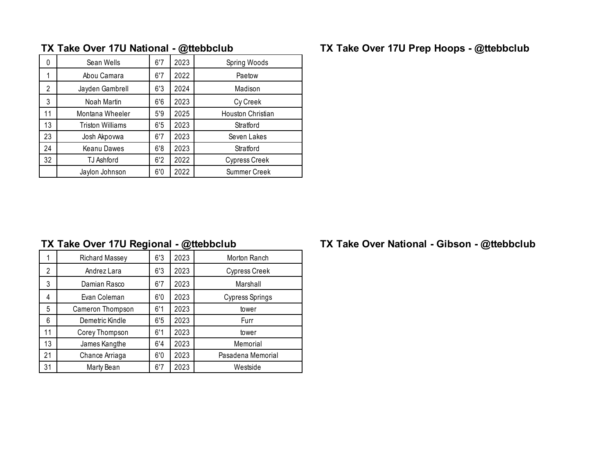| 0  | Sean Wells              | 6'7 | 2023 | Spring Woods         |
|----|-------------------------|-----|------|----------------------|
| 1  | Abou Camara             | 6'7 | 2022 | Paetow               |
| 2  | Jayden Gambrell         | 6'3 | 2024 | Madison              |
| 3  | Noah Martin             | 6'6 | 2023 | Cy Creek             |
| 11 | Montana Wheeler         | 5'9 | 2025 | Houston Christian    |
| 13 | <b>Triston Williams</b> | 6'5 | 2023 | Stratford            |
| 23 | Josh Akpovwa            | 6'7 | 2023 | Seven Lakes          |
| 24 | Keanu Dawes             | 6'8 | 2023 | Stratford            |
| 32 | TJ Ashford              | 6'2 | 2022 | <b>Cypress Creek</b> |
|    | Jaylon Johnson          | 6'0 | 2022 | <b>Summer Creek</b>  |

# **TX Take Over 17U National - @ttebbclub TX Take Over 17U Prep Hoops - @ttebbclub**

|    | Richard Massey   | 6'3 | 2023 | Morton Ranch         |
|----|------------------|-----|------|----------------------|
| 2  | Andrez Lara      | 6'3 | 2023 | <b>Cypress Creek</b> |
| 3  | Damian Rasco     | 6'7 | 2023 | Marshall             |
| 4  | Evan Coleman     | 6'0 | 2023 | Cypress Springs      |
| 5  | Cameron Thompson | 6'1 | 2023 | tower                |
| 6  | Demetric Kindle  | 6'5 | 2023 | Furr                 |
| 11 | Corey Thompson   | 6'1 | 2023 | tower                |
| 13 | James Kangthe    | 6'4 | 2023 | Memorial             |
| 21 | Chance Arriaga   | 6'0 | 2023 | Pasadena Memorial    |
| 31 | Marty Bean       | 6'7 | 2023 | Westside             |

# **TX Take Over 17U Regional - @ttebbclub TX Take Over National - Gibson - @ttebbclub**